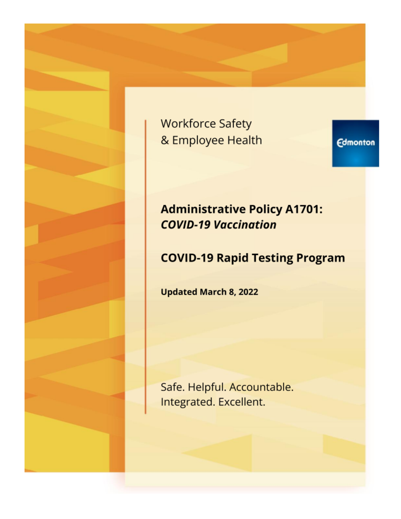**Workforce Safety** & Employee Health

**Edmonton** 

# **Administrative Policy A1701: COVID-19 Vaccination**

# **COVID-19 Rapid Testing Program**

**Updated March 8, 2022** 

Safe. Helpful. Accountable. Integrated. Excellent.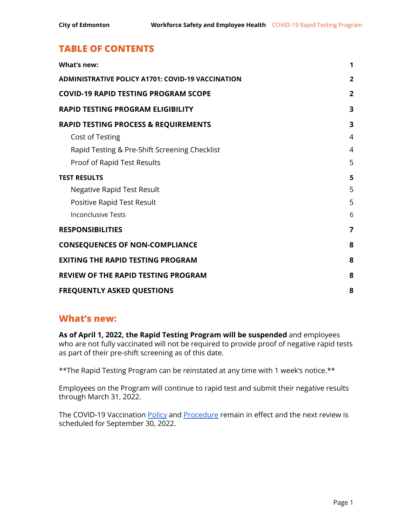# **TABLE OF CONTENTS**

| What's new:                                              | 1              |
|----------------------------------------------------------|----------------|
| <b>ADMINISTRATIVE POLICY A1701: COVID-19 VACCINATION</b> | $\overline{2}$ |
| <b>COVID-19 RAPID TESTING PROGRAM SCOPE</b>              | $\overline{2}$ |
| <b>RAPID TESTING PROGRAM ELIGIBILITY</b>                 | 3              |
| <b>RAPID TESTING PROCESS &amp; REQUIREMENTS</b>          | 3              |
| Cost of Testing                                          | $\overline{4}$ |
| Rapid Testing & Pre-Shift Screening Checklist            | $\overline{4}$ |
| Proof of Rapid Test Results                              | 5              |
| <b>TEST RESULTS</b>                                      | 5              |
| Negative Rapid Test Result                               | 5              |
| Positive Rapid Test Result                               | 5              |
| <b>Inconclusive Tests</b>                                | 6              |
| <b>RESPONSIBILITIES</b>                                  | $\overline{7}$ |
| <b>CONSEQUENCES OF NON-COMPLIANCE</b>                    | 8              |
| <b>EXITING THE RAPID TESTING PROGRAM</b>                 | 8              |
| <b>REVIEW OF THE RAPID TESTING PROGRAM</b>               | 8              |
| <b>FREQUENTLY ASKED QUESTIONS</b>                        | 8              |

### <span id="page-1-0"></span>**What's new:**

**As of April 1, 2022, the Rapid Testing Program will be suspended** and employees who are not fully vaccinated will not be required to provide proof of negative rapid tests as part of their pre-shift screening as of this date.

\*\*The Rapid Testing Program can be reinstated at any time with 1 week's notice.\*\*

Employees on the Program will continue to rapid test and submit their negative results through March 31, 2022.

The COVID-19 Vaccination [Policy](https://www.edmonton.ca/sites/default/files/public-files/assets/PDF/A1701.pdf?cb=1643400944) and [Procedure](https://www.edmonton.ca/sites/default/files/public-files/assets/PDF/A1701_COVID-19_Vaccination_Procedure.pdf?cb=1643400944) remain in effect and the next review is scheduled for September 30, 2022.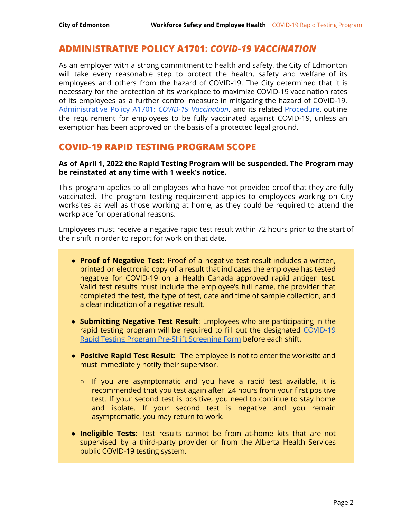### <span id="page-2-0"></span>**ADMINISTRATIVE POLICY A1701:** *COVID-19 VACCINATION*

As an employer with a strong commitment to health and safety, the City of Edmonton will take every reasonable step to protect the health, safety and welfare of its employees and others from the hazard of COVID-19. The City determined that it is necessary for the protection of its workplace to maximize COVID-19 vaccination rates of its employees as a further control measure in mitigating the hazard of COVID-19. [Administrative](https://www.edmonton.ca/sites/default/files/public-files/assets/PDF/A1701.pdf) Policy A1701: *COVID-19 Vaccination*, and its related [Procedure](https://www.edmonton.ca/sites/default/files/public-files/assets/PDF/A1701_COVID-19_Vaccination_Procedure.pdf), outline the requirement for employees to be fully vaccinated against COVID-19, unless an exemption has been approved on the basis of a protected legal ground.

### <span id="page-2-1"></span>**COVID-19 RAPID TESTING PROGRAM SCOPE**

#### **As of April 1, 2022 the Rapid Testing Program will be suspended. The Program may be reinstated at any time with 1 week's notice.**

This program applies to all employees who have not provided proof that they are fully vaccinated. The program testing requirement applies to employees working on City worksites as well as those working at home, as they could be required to attend the workplace for operational reasons.

Employees must receive a negative rapid test result within 72 hours prior to the start of their shift in order to report for work on that date.

- **Proof of Negative Test:** Proof of a negative test result includes a written, printed or electronic copy of a result that indicates the employee has tested negative for COVID-19 on a Health Canada approved rapid antigen test. Valid test results must include the employee's full name, the provider that completed the test, the type of test, date and time of sample collection, and a clear indication of a negative result.
- **Submitting Negative Test Result**: Employees who are participating in the rapid testing program will be required to fill out the designated [COVID-19](https://app.smartsheet.com/b/form/9f4fae73e82847a4987ac4f9168b3087) Rapid Testing Program Pre-Shift [Screening](https://app.smartsheet.com/b/form/9f4fae73e82847a4987ac4f9168b3087) Form before each shift.
- **Positive Rapid Test Result:** The employee is not to enter the worksite and must immediately notify their supervisor.
	- If you are asymptomatic and you have a rapid test available, it is recommended that you test again after 24 hours from your first positive test. If your second test is positive, you need to continue to stay home and isolate. If your second test is negative and you remain asymptomatic, you may return to work.
- **Ineligible Tests**: Test results cannot be from at-home kits that are not supervised by a third-party provider or from the Alberta Health Services public COVID-19 testing system.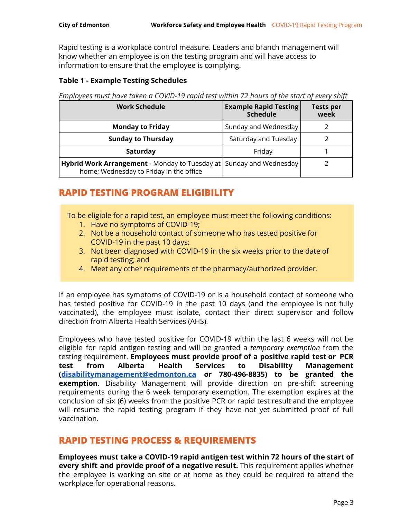Rapid testing is a workplace control measure. Leaders and branch management will know whether an employee is on the testing program and will have access to information to ensure that the employee is complying.

#### **Table 1 - Example Testing Schedules**

*Employees must have taken a COVID-19 rapid test within 72 hours of the start of every shift*

| <b>Work Schedule</b>                                                                                                  | <b>Example Rapid Testing</b><br><b>Schedule</b> | <b>Tests per</b><br>week |
|-----------------------------------------------------------------------------------------------------------------------|-------------------------------------------------|--------------------------|
| <b>Monday to Friday</b>                                                                                               | Sunday and Wednesday                            |                          |
| <b>Sunday to Thursday</b>                                                                                             | Saturday and Tuesday                            |                          |
| Saturday                                                                                                              | Friday                                          |                          |
| <b>Hybrid Work Arrangement -</b> Monday to Tuesday at Sunday and Wednesday<br>home; Wednesday to Friday in the office |                                                 |                          |

# <span id="page-3-0"></span>**RAPID TESTING PROGRAM ELIGIBILITY**

To be eligible for a rapid test, an employee must meet the following conditions:

- 1. Have no symptoms of COVID-19;
- 2. Not be a household contact of someone who has tested positive for COVID-19 in the past 10 days;
- 3. Not been diagnosed with COVID-19 in the six weeks prior to the date of rapid testing; and
- 4. Meet any other requirements of the pharmacy/authorized provider.

If an employee has symptoms of COVID-19 or is a household contact of someone who has tested positive for COVID-19 in the past 10 days (and the employee is not fully vaccinated), the employee must isolate, contact their direct supervisor and follow direction from Alberta Health Services (AHS).

Employees who have tested positive for COVID-19 within the last 6 weeks will not be eligible for rapid antigen testing and will be granted a *temporary exemption* from the testing requirement. **Employees must provide proof of a positive rapid test or PCR test from Alberta Health Services to Disability Management ([disabilitymanagement@edmonton.ca](mailto:disabilitymanagement@edmonton.ca) or 780-496-8835) to be granted the exemption**. Disability Management will provide direction on pre-shift screening requirements during the 6 week temporary exemption. The exemption expires at the conclusion of six (6) weeks from the positive PCR or rapid test result and the employee will resume the rapid testing program if they have not yet submitted proof of full vaccination.

## <span id="page-3-1"></span>**RAPID TESTING PROCESS & REQUIREMENTS**

**Employees must take a COVID-19 rapid antigen test within 72 hours of the start of every shift and provide proof of a negative result.** This requirement applies whether the employee is working on site or at home as they could be required to attend the workplace for operational reasons.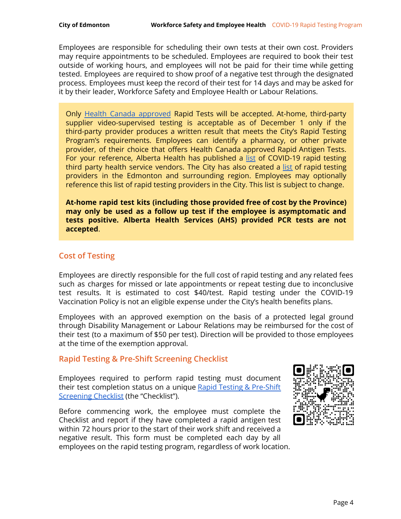Employees are responsible for scheduling their own tests at their own cost. Providers may require appointments to be scheduled. Employees are required to book their test outside of working hours, and employees will not be paid for their time while getting tested. Employees are required to show proof of a negative test through the designated process. Employees must keep the record of their test for 14 days and may be asked for it by their leader, Workforce Safety and Employee Health or Labour Relations.

Only Health Canada [approved](https://www.canada.ca/en/health-canada/services/drugs-health-products/covid19-industry/medical-devices/authorized/list.html) Rapid Tests will be accepted. At-home, third-party supplier video-supervised testing is acceptable as of December 1 only if the third-party provider produces a written result that meets the City's Rapid Testing Program's requirements. Employees can identify a pharmacy, or other private provider, of their choice that offers Health Canada approved Rapid Antigen Tests. For your reference, Alberta Health has published a [list](https://www.alberta.ca/assets/documents/covid-19-rapid-testing-third-party-health-service-vendors-businesses.pdf) of COVID-19 rapid testing third party health service vendors. The City has also created a [list](https://docs.google.com/spreadsheets/d/111Bu9K9CPmC1tXwk2u1WQXnQe8AHhGaXZIN1VC5i8bI/edit#gid=0) of rapid testing providers in the Edmonton and surrounding region. Employees may optionally reference this list of rapid testing providers in the City. This list is subject to change.

**At-home rapid test kits (including those provided free of cost by the Province) may only be used as a follow up test if the employee is asymptomatic and tests positive. Alberta Health Services (AHS) provided PCR tests are not accepted**.

### <span id="page-4-0"></span>**Cost of Testing**

Employees are directly responsible for the full cost of rapid testing and any related fees such as charges for missed or late appointments or repeat testing due to inconclusive test results. It is estimated to cost \$40/test. Rapid testing under the COVID-19 Vaccination Policy is not an eligible expense under the City's health benefits plans.

Employees with an approved exemption on the basis of a protected legal ground through Disability Management or Labour Relations may be reimbursed for the cost of their test (to a maximum of \$50 per test). Direction will be provided to those employees at the time of the exemption approval.

#### <span id="page-4-1"></span>**Rapid Testing & Pre-Shift Screening Checklist**

Employees required to perform rapid testing must document their test completion status on a unique Rapid Testing & [Pre-Shift](https://app.smartsheet.com/b/form/9f4fae73e82847a4987ac4f9168b3087) [Screening](https://app.smartsheet.com/b/form/9f4fae73e82847a4987ac4f9168b3087) Checklist (the "Checklist").

Before commencing work, the employee must complete the Checklist and report if they have completed a rapid antigen test within 72 hours prior to the start of their work shift and received a negative result. This form must be completed each day by all employees on the rapid testing program, regardless of work location.

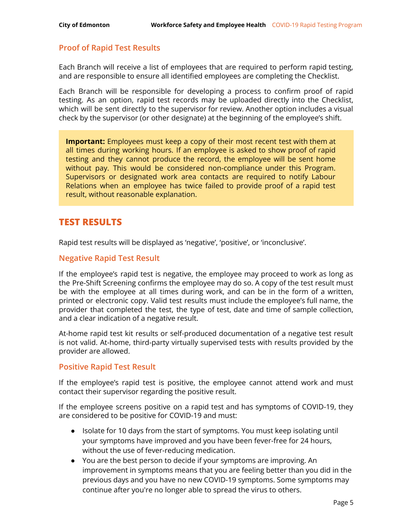#### <span id="page-5-0"></span>**Proof of Rapid Test Results**

Each Branch will receive a list of employees that are required to perform rapid testing, and are responsible to ensure all identified employees are completing the Checklist.

Each Branch will be responsible for developing a process to confirm proof of rapid testing. As an option, rapid test records may be uploaded directly into the Checklist, which will be sent directly to the supervisor for review. Another option includes a visual check by the supervisor (or other designate) at the beginning of the employee's shift.

**Important:** Employees must keep a copy of their most recent test with them at all times during working hours. If an employee is asked to show proof of rapid testing and they cannot produce the record, the employee will be sent home without pay. This would be considered non-compliance under this Program. Supervisors or designated work area contacts are required to notify Labour Relations when an employee has twice failed to provide proof of a rapid test result, without reasonable explanation.

### <span id="page-5-1"></span>**TEST RESULTS**

Rapid test results will be displayed as 'negative', 'positive', or 'inconclusive'.

#### <span id="page-5-2"></span>**Negative Rapid Test Result**

If the employee's rapid test is negative, the employee may proceed to work as long as the Pre-Shift Screening confirms the employee may do so. A copy of the test result must be with the employee at all times during work, and can be in the form of a written, printed or electronic copy. Valid test results must include the employee's full name, the provider that completed the test, the type of test, date and time of sample collection, and a clear indication of a negative result.

At-home rapid test kit results or self-produced documentation of a negative test result is not valid. At-home, third-party virtually supervised tests with results provided by the provider are allowed.

#### <span id="page-5-3"></span>**Positive Rapid Test Result**

If the employee's rapid test is positive, the employee cannot attend work and must contact their supervisor regarding the positive result.

If the employee screens positive on a rapid test and has symptoms of COVID-19, they are considered to be positive for COVID-19 and must:

- Isolate for 10 days from the start of symptoms. You must keep isolating until your symptoms have improved and you have been fever-free for 24 hours, without the use of fever-reducing medication.
- You are the best person to decide if your symptoms are improving. An improvement in symptoms means that you are feeling better than you did in the previous days and you have no new COVID-19 symptoms. Some symptoms may continue after you're no longer able to spread the virus to others.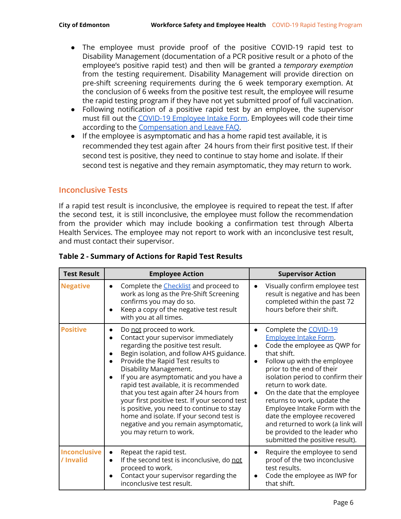- The employee must provide proof of the positive COVID-19 rapid test to Disability Management (documentation of a PCR positive result or a photo of the employee's positive rapid test) and then will be granted a *temporary exemption* from the testing requirement. Disability Management will provide direction on pre-shift screening requirements during the 6 week temporary exemption. At the conclusion of 6 weeks from the positive test result, the employee will resume the rapid testing program if they have not yet submitted proof of full vaccination.
- Following notification of a positive rapid test by an employee, the supervisor must fill out the COVID-19 [Employee](https://app.smartsheet.com/b/form/bd78dec12ea44698a0aa6623e17d5fd1) Intake Form. Employees will code their time according to the [Compensation](https://www.edmonton.ca/public-files/assets/document?path=PDF/COVID-19_Employee_Compensation_and_Leave_FAQ.pdf) and Leave FAQ.
- If the employee is asymptomatic and has a home rapid test available, it is recommended they test again after 24 hours from their first positive test. If their second test is positive, they need to continue to stay home and isolate. If their second test is negative and they remain asymptomatic, they may return to work.

#### <span id="page-6-0"></span>**Inconclusive Tests**

If a rapid test result is inconclusive, the employee is required to repeat the test. If after the second test, it is still inconclusive, the employee must follow the recommendation from the provider which may include booking a confirmation test through Alberta Health Services. The employee may not report to work with an inconclusive test result, and must contact their supervisor.

| <b>Test Result</b>        | <b>Employee Action</b>                                                                                                                                                                                                                                                                                                                                                                                                                                                                                                                                          | <b>Supervisor Action</b>                                                                                                                                                                                                                                                                                                                                                                                                                                                                  |
|---------------------------|-----------------------------------------------------------------------------------------------------------------------------------------------------------------------------------------------------------------------------------------------------------------------------------------------------------------------------------------------------------------------------------------------------------------------------------------------------------------------------------------------------------------------------------------------------------------|-------------------------------------------------------------------------------------------------------------------------------------------------------------------------------------------------------------------------------------------------------------------------------------------------------------------------------------------------------------------------------------------------------------------------------------------------------------------------------------------|
| <b>Negative</b>           | Complete the Checklist and proceed to<br>work as long as the Pre-Shift Screening<br>confirms you may do so.<br>Keep a copy of the negative test result<br>with you at all times.                                                                                                                                                                                                                                                                                                                                                                                | Visually confirm employee test<br>result is negative and has been<br>completed within the past 72<br>hours before their shift.                                                                                                                                                                                                                                                                                                                                                            |
| <b>Positive</b>           | Do not proceed to work.<br>Contact your supervisor immediately<br>regarding the positive test result.<br>Begin isolation, and follow AHS guidance.<br>Provide the Rapid Test results to<br>Disability Management.<br>If you are asymptomatic and you have a<br>rapid test available, it is recommended<br>that you test again after 24 hours from<br>your first positive test. If your second test<br>is positive, you need to continue to stay<br>home and isolate. If your second test is<br>negative and you remain asymptomatic,<br>you may return to work. | Complete the COVID-19<br>Employee Intake Form.<br>Code the employee as QWP for<br>that shift.<br>Follow up with the employee<br>$\bullet$<br>prior to the end of their<br>isolation period to confirm their<br>return to work date.<br>On the date that the employee<br>$\bullet$<br>returns to work, update the<br>Employee Intake Form with the<br>date the employee recovered<br>and returned to work (a link will<br>be provided to the leader who<br>submitted the positive result). |
| Inconclusive<br>/ Invalid | Repeat the rapid test.<br>If the second test is inconclusive, do not<br>proceed to work.<br>Contact your supervisor regarding the<br>inconclusive test result.                                                                                                                                                                                                                                                                                                                                                                                                  | Require the employee to send<br>proof of the two inconclusive<br>test results.<br>Code the employee as IWP for<br>that shift.                                                                                                                                                                                                                                                                                                                                                             |

#### **Table 2 - Summary of Actions for Rapid Test Results**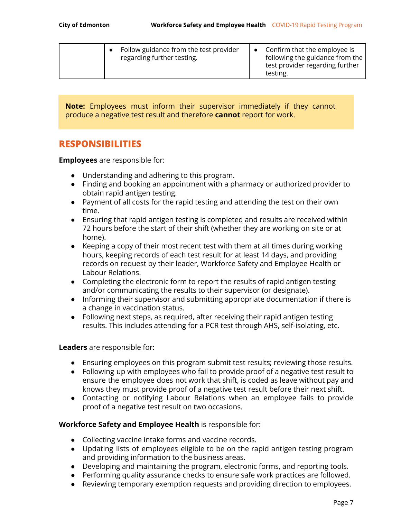| Follow guidance from the test provider<br>regarding further testing. | Confirm that the employee is<br>following the guidance from the<br>test provider regarding further<br>testing. |
|----------------------------------------------------------------------|----------------------------------------------------------------------------------------------------------------|
|----------------------------------------------------------------------|----------------------------------------------------------------------------------------------------------------|

**Note:** Employees must inform their supervisor immediately if they cannot produce a negative test result and therefore **cannot** report for work.

#### <span id="page-7-0"></span>**RESPONSIBILITIES**

**Employees** are responsible for:

- Understanding and adhering to this program.
- Finding and booking an appointment with a pharmacy or authorized provider to obtain rapid antigen testing.
- Payment of all costs for the rapid testing and attending the test on their own time.
- Ensuring that rapid antigen testing is completed and results are received within 72 hours before the start of their shift (whether they are working on site or at home).
- Keeping a copy of their most recent test with them at all times during working hours, keeping records of each test result for at least 14 days, and providing records on request by their leader, Workforce Safety and Employee Health or Labour Relations.
- Completing the electronic form to report the results of rapid antigen testing and/or communicating the results to their supervisor (or designate).
- Informing their supervisor and submitting appropriate documentation if there is a change in vaccination status.
- Following next steps, as required, after receiving their rapid antigen testing results. This includes attending for a PCR test through AHS, self-isolating, etc.

#### **Leaders** are responsible for:

- Ensuring employees on this program submit test results; reviewing those results.
- Following up with employees who fail to provide proof of a negative test result to ensure the employee does not work that shift, is coded as leave without pay and knows they must provide proof of a negative test result before their next shift.
- Contacting or notifying Labour Relations when an employee fails to provide proof of a negative test result on two occasions.

#### **Workforce Safety and Employee Health** is responsible for:

- Collecting vaccine intake forms and vaccine records.
- Updating lists of employees eligible to be on the rapid antigen testing program and providing information to the business areas.
- Developing and maintaining the program, electronic forms, and reporting tools.
- Performing quality assurance checks to ensure safe work practices are followed.
- Reviewing temporary exemption requests and providing direction to employees.